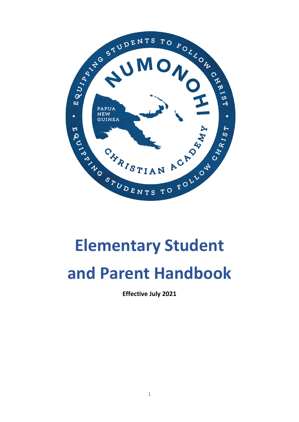

# **Elementary Student and Parent Handbook**

**Effective July 2021**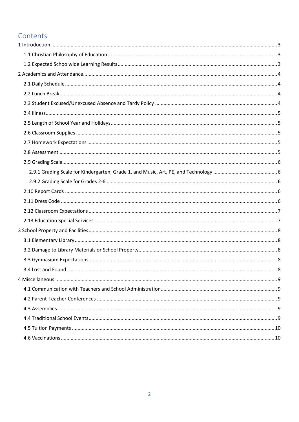# Contents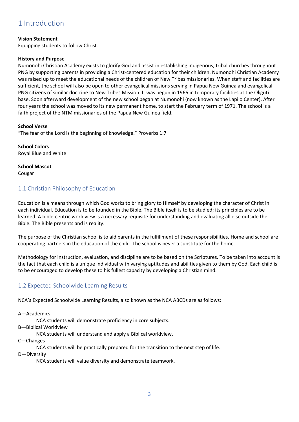# <span id="page-2-0"></span>1 Introduction

#### **Vision Statement**

Equipping students to follow Christ.

#### **History and Purpose**

Numonohi Christian Academy exists to glorify God and assist in establishing indigenous, tribal churches throughout PNG by supporting parents in providing a Christ-centered education for their children. Numonohi Christian Academy was raised up to meet the educational needs of the children of New Tribes missionaries. When staff and facilities are sufficient, the school will also be open to other evangelical missions serving in Papua New Guinea and evangelical PNG citizens of similar doctrine to New Tribes Mission. It was begun in 1966 in temporary facilities at the Oliguti base. Soon afterward development of the new school began at Numonohi (now known as the Lapilo Center). After four years the school was moved to its new permanent home, to start the February term of 1971. The school is a faith project of the NTM missionaries of the Papua New Guinea field.

**School Verse** "The fear of the Lord is the beginning of knowledge." Proverbs 1:7

**School Colors** Royal Blue and White

**School Mascot** Cougar

# <span id="page-2-1"></span>1.1 Christian Philosophy of Education

Education is a means through which God works to bring glory to Himself by developing the character of Christ in each individual. Education is to be founded in the Bible. The Bible itself is to be studied; its principles are to be learned. A bible-centric worldview is a necessary requisite for understanding and evaluating all else outside the Bible. The Bible presents and is reality.

The purpose of the Christian school is to aid parents in the fulfillment of these responsibilities. Home and school are cooperating partners in the education of the child. The school is never a substitute for the home.

Methodology for instruction, evaluation, and discipline are to be based on the Scriptures. To be taken into account is the fact that each child is a unique individual with varying aptitudes and abilities given to them by God. Each child is to be encouraged to develop these to his fullest capacity by developing a Christian mind.

# <span id="page-2-2"></span>1.2 Expected Schoolwide Learning Results

NCA's Expected Schoolwide Learning Results, also known as the NCA ABCDs are as follows:

A—Academics

NCA students will demonstrate proficiency in core subjects.

B—Biblical Worldview

NCA students will understand and apply a Biblical worldview.

C—Changes

NCA students will be practically prepared for the transition to the next step of life.

D—Diversity

NCA students will value diversity and demonstrate teamwork.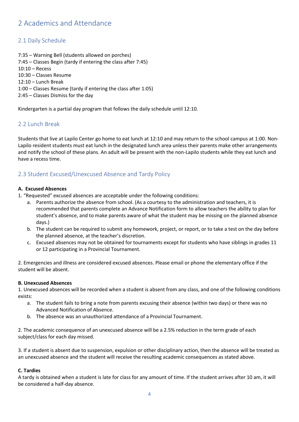# <span id="page-3-0"></span>2 Academics and Attendance

# <span id="page-3-1"></span>2.1 Daily Schedule

7:35 – Warning Bell (students allowed on porches) 7:45 – Classes Begin (tardy if entering the class after 7:45) 10:10 – Recess 10:30 – Classes Resume 12:10 – Lunch Break 1:00 – Classes Resume (tardy if entering the class after 1:05) 2:45 – Classes Dismiss for the day

Kindergarten is a partial day program that follows the daily schedule until 12:10.

# <span id="page-3-2"></span>2.2 Lunch Break

Students that live at Lapilo Center go home to eat lunch at 12:10 and may return to the school campus at 1:00. Non-Lapilo resident students must eat lunch in the designated lunch area unless their parents make other arrangements and notify the school of these plans. An adult will be present with the non-Lapilo students while they eat lunch and have a recess time.

# <span id="page-3-3"></span>2.3 Student Excused/Unexcused Absence and Tardy Policy

#### **A. Excused Absences**

- 1. "Requested" excused absences are acceptable under the following conditions:
	- a. Parents authorize the absence from school. (As a courtesy to the administration and teachers, it is recommended that parents complete an Advance Notification form to allow teachers the ability to plan for student's absence, and to make parents aware of what the student may be missing on the planned absence days.)
	- b. The student can be required to submit any homework, project, or report, or to take a test on the day before the planned absence, at the teacher's discretion.
	- c. Excused absences may not be obtained for tournaments except for students who have siblings in grades 11 or 12 participating in a Provincial Tournament.

2. Emergencies and illness are considered excused absences. Please email or phone the elementary office if the student will be absent.

#### **B. Unexcused Absences**

1. Unexcused absences will be recorded when a student is absent from any class, and one of the following conditions exists:

- a. The student fails to bring a note from parents excusing their absence (within two days) or there was no Advanced Notification of Absence.
- b. The absence was an unauthorized attendance of a Provincial Tournament.

2. The academic consequence of an unexcused absence will be a 2.5% reduction in the term grade of each subject/class for each day missed.

3. If a student is absent due to suspension, expulsion or other disciplinary action, then the absence will be treated as an unexcused absence and the student will receive the resulting academic consequences as stated above.

#### **C. Tardies**

A tardy is obtained when a student is late for class for any amount of time. If the student arrives after 10 am, it will be considered a half-day absence.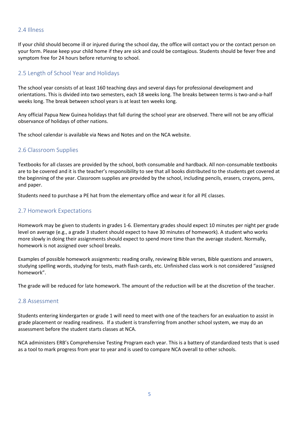#### <span id="page-4-0"></span>2.4 Illness

If your child should become ill or injured during the school day, the office will contact you or the contact person on your form. Please keep your child home if they are sick and could be contagious. Students should be fever free and symptom free for 24 hours before returning to school.

## <span id="page-4-1"></span>2.5 Length of School Year and Holidays

The school year consists of at least 160 teaching days and several days for professional development and orientations. This is divided into two semesters, each 18 weeks long. The breaks between terms is two-and-a-half weeks long. The break between school years is at least ten weeks long.

Any official Papua New Guinea holidays that fall during the school year are observed. There will not be any official observance of holidays of other nations.

The school calendar is available via News and Notes and on the NCA website.

#### <span id="page-4-2"></span>2.6 Classroom Supplies

Textbooks for all classes are provided by the school, both consumable and hardback. All non-consumable textbooks are to be covered and it is the teacher's responsibility to see that all books distributed to the students get covered at the beginning of the year. Classroom supplies are provided by the school, including pencils, erasers, crayons, pens, and paper.

Students need to purchase a PE hat from the elementary office and wear it for all PE classes.

#### <span id="page-4-3"></span>2.7 Homework Expectations

Homework may be given to students in grades 1-6. Elementary grades should expect 10 minutes per night per grade level on average (e.g., a grade 3 student should expect to have 30 minutes of homework). A student who works more slowly in doing their assignments should expect to spend more time than the average student. Normally, homework is not assigned over school breaks.

Examples of possible homework assignments: reading orally, reviewing Bible verses, Bible questions and answers, studying spelling words, studying for tests, math flash cards, etc. Unfinished class work is not considered "assigned homework".

The grade will be reduced for late homework. The amount of the reduction will be at the discretion of the teacher.

#### <span id="page-4-4"></span>2.8 Assessment

Students entering kindergarten or grade 1 will need to meet with one of the teachers for an evaluation to assist in grade placement or reading readiness. If a student is transferring from another school system, we may do an assessment before the student starts classes at NCA.

NCA administers ERB's Comprehensive Testing Program each year. This is a battery of standardized tests that is used as a tool to mark progress from year to year and is used to compare NCA overall to other schools.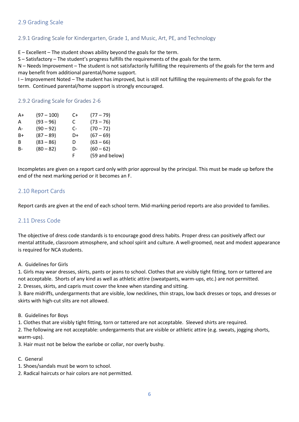## <span id="page-5-0"></span>2.9 Grading Scale

#### <span id="page-5-1"></span>2.9.1 Grading Scale for Kindergarten, Grade 1, and Music, Art, PE, and Technology

E – Excellent – The student shows ability beyond the goals for the term.

S – Satisfactory – The student's progress fulfills the requirements of the goals for the term.

N – Needs Improvement – The student is not satisfactorily fulfilling the requirements of the goals for the term and may benefit from additional parental/home support.

I – Improvement Noted – The student has improved, but is still not fulfilling the requirements of the goals for the term. Continued parental/home support is strongly encouraged.

#### <span id="page-5-2"></span>2.9.2 Grading Scale for Grades 2-6

| A+    | $(97 - 100)$ | C+ | $(77 - 79)$    |
|-------|--------------|----|----------------|
| A     | $(93 - 96)$  | C  | $(73 - 76)$    |
| А-    | $(90 - 92)$  | C- | $(70 - 72)$    |
| $B+$  | $(87 - 89)$  | D+ | $(67 - 69)$    |
| B     | $(83 - 86)$  | D  | $(63 - 66)$    |
| $B -$ | $(80 - 82)$  | D- | $(60 - 62)$    |
|       |              | F  | (59 and below) |

Incompletes are given on a report card only with prior approval by the principal. This must be made up before the end of the next marking period or it becomes an F.

#### <span id="page-5-3"></span>2.10 Report Cards

Report cards are given at the end of each school term. Mid-marking period reports are also provided to families.

#### <span id="page-5-4"></span>2.11 Dress Code

The objective of dress code standards is to encourage good dress habits. Proper dress can positively affect our mental attitude, classroom atmosphere, and school spirit and culture. A well-groomed, neat and modest appearance is required for NCA students.

#### A. Guidelines for Girls

1. Girls may wear dresses, skirts, pants or jeans to school. Clothes that are visibly tight fitting, torn or tattered are not acceptable. Shorts of any kind as well as athletic attire (sweatpants, warm-ups, etc.) are not permitted.

2. Dresses, skirts, and capris must cover the knee when standing and sitting.

3. Bare midriffs, undergarments that are visible, low necklines, thin straps, low back dresses or tops, and dresses or skirts with high-cut slits are not allowed.

B. Guidelines for Boys

1. Clothes that are visibly tight fitting, torn or tattered are not acceptable. Sleeved shirts are required.

2. The following are not acceptable: undergarments that are visible or athletic attire (e.g. sweats, jogging shorts, warm-ups).

3. Hair must not be below the earlobe or collar, nor overly bushy.

#### C. General

- 1. Shoes/sandals must be worn to school.
- 2. Radical haircuts or hair colors are not permitted.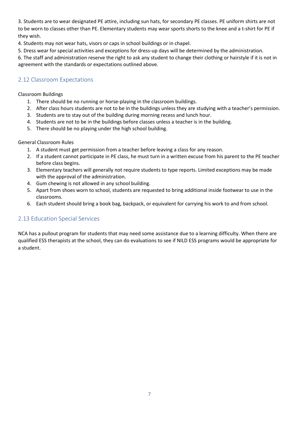3. Students are to wear designated PE attire, including sun hats, for secondary PE classes. PE uniform shirts are not to be worn to classes other than PE. Elementary students may wear sports shorts to the knee and a t-shirt for PE if they wish.

4. Students may not wear hats, visors or caps in school buildings or in chapel.

5. Dress wear for special activities and exceptions for dress-up days will be determined by the administration.

6. The staff and administration reserve the right to ask any student to change their clothing or hairstyle if it is not in agreement with the standards or expectations outlined above.

# <span id="page-6-0"></span>2.12 Classroom Expectations

#### Classroom Buildings

- 1. There should be no running or horse-playing in the classroom buildings.
- 2. After class hours students are not to be in the buildings unless they are studying with a teacher's permission.
- 3. Students are to stay out of the building during morning recess and lunch hour.
- 4. Students are not to be in the buildings before classes unless a teacher is in the building.
- 5. There should be no playing under the high school building.

#### General Classroom Rules

- 1. A student must get permission from a teacher before leaving a class for any reason.
- 2. If a student cannot participate in PE class, he must turn in a written excuse from his parent to the PE teacher before class begins.
- 3. Elementary teachers will generally not require students to type reports. Limited exceptions may be made with the approval of the administration.
- 4. Gum chewing is not allowed in any school building.
- 5. Apart from shoes worn to school, students are requested to bring additional inside footwear to use in the classrooms.
- 6. Each student should bring a book bag, backpack, or equivalent for carrying his work to and from school.

# <span id="page-6-1"></span>2.13 Education Special Services

NCA has a pullout program for students that may need some assistance due to a learning difficulty. When there are qualified ESS therapists at the school, they can do evaluations to see if NILD ESS programs would be appropriate for a student.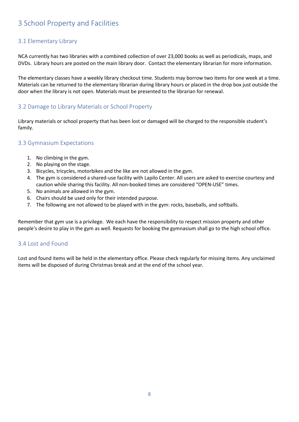# <span id="page-7-0"></span>3 School Property and Facilities

# <span id="page-7-1"></span>3.1 Elementary Library

NCA currently has two libraries with a combined collection of over 23,000 books as well as periodicals, maps, and DVDs. Library hours are posted on the main library door. Contact the elementary librarian for more information.

The elementary classes have a weekly library checkout time. Students may borrow two items for one week at a time. Materials can be returned to the elementary librarian during library hours or placed in the drop box just outside the door when the library is not open. Materials must be presented to the librarian for renewal.

## <span id="page-7-2"></span>3.2 Damage to Library Materials or School Property

Library materials or school property that has been lost or damaged will be charged to the responsible student's family.

## <span id="page-7-3"></span>3.3 Gymnasium Expectations

- 1. No climbing in the gym.
- 2. No playing on the stage.
- 3. Bicycles, tricycles, motorbikes and the like are not allowed in the gym.
- 4. The gym is considered a shared-use facility with Lapilo Center. All users are asked to exercise courtesy and caution while sharing this facility. All non-booked times are considered "OPEN-USE" times.
- 5. No animals are allowed in the gym.
- 6. Chairs should be used only for their intended purpose.
- 7. The following are not allowed to be played with in the gym: rocks, baseballs, and softballs.

Remember that gym use is a privilege. We each have the responsibility to respect mission property and other people's desire to play in the gym as well. Requests for booking the gymnasium shall go to the high school office.

#### <span id="page-7-4"></span>3.4 Lost and Found

Lost and found items will be held in the elementary office. Please check regularly for missing items. Any unclaimed items will be disposed of during Christmas break and at the end of the school year.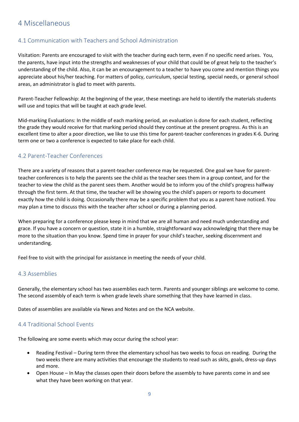# <span id="page-8-0"></span>4 Miscellaneous

# <span id="page-8-1"></span>4.1 Communication with Teachers and School Administration

Visitation: Parents are encouraged to visit with the teacher during each term, even if no specific need arises. You, the parents, have input into the strengths and weaknesses of your child that could be of great help to the teacher's understanding of the child. Also, it can be an encouragement to a teacher to have you come and mention things you appreciate about his/her teaching. For matters of policy, curriculum, special testing, special needs, or general school areas, an administrator is glad to meet with parents.

Parent-Teacher Fellowship: At the beginning of the year, these meetings are held to identify the materials students will use and topics that will be taught at each grade level.

Mid-marking Evaluations: In the middle of each marking period, an evaluation is done for each student, reflecting the grade they would receive for that marking period should they continue at the present progress. As this is an excellent time to alter a poor direction, we like to use this time for parent-teacher conferences in grades K-6. During term one or two a conference is expected to take place for each child.

# <span id="page-8-2"></span>4.2 Parent-Teacher Conferences

There are a variety of reasons that a parent-teacher conference may be requested. One goal we have for parentteacher conferences is to help the parents see the child as the teacher sees them in a group context, and for the teacher to view the child as the parent sees them. Another would be to inform you of the child's progress halfway through the first term. At that time, the teacher will be showing you the child's papers or reports to document exactly how the child is doing. Occasionally there may be a specific problem that you as a parent have noticed. You may plan a time to discuss this with the teacher after school or during a planning period.

When preparing for a conference please keep in mind that we are all human and need much understanding and grace. If you have a concern or question, state it in a humble, straightforward way acknowledging that there may be more to the situation than you know. Spend time in prayer for your child's teacher, seeking discernment and understanding.

Feel free to visit with the principal for assistance in meeting the needs of your child.

#### <span id="page-8-3"></span>4.3 Assemblies

Generally, the elementary school has two assemblies each term. Parents and younger siblings are welcome to come. The second assembly of each term is when grade levels share something that they have learned in class.

Dates of assemblies are available via News and Notes and on the NCA website.

#### <span id="page-8-4"></span>4.4 Traditional School Events

The following are some events which may occur during the school year:

- Reading Festival During term three the elementary school has two weeks to focus on reading. During the two weeks there are many activities that encourage the students to read such as skits, goals, dress-up days and more.
- Open House In May the classes open their doors before the assembly to have parents come in and see what they have been working on that year.